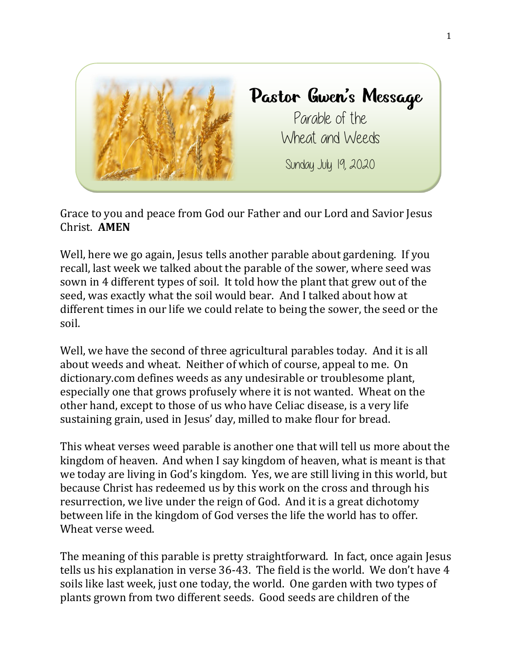

Grace to you and peace from God our Father and our Lord and Savior Jesus Christ. **AMEN**

Well, here we go again, Jesus tells another parable about gardening. If you recall, last week we talked about the parable of the sower, where seed was sown in 4 different types of soil. It told how the plant that grew out of the seed, was exactly what the soil would bear. And I talked about how at different times in our life we could relate to being the sower, the seed or the soil.

Well, we have the second of three agricultural parables today. And it is all about weeds and wheat. Neither of which of course, appeal to me. On dictionary.com defines weeds as any undesirable or troublesome plant, especially one that grows profusely where it is not wanted. Wheat on the other hand, except to those of us who have Celiac disease, is a very life sustaining grain, used in Jesus' day, milled to make flour for bread.

This wheat verses weed parable is another one that will tell us more about the kingdom of heaven. And when I say kingdom of heaven, what is meant is that we today are living in God's kingdom. Yes, we are still living in this world, but because Christ has redeemed us by this work on the cross and through his resurrection, we live under the reign of God. And it is a great dichotomy between life in the kingdom of God verses the life the world has to offer. Wheat verse weed.

The meaning of this parable is pretty straightforward. In fact, once again Jesus tells us his explanation in verse 36-43. The field is the world. We don't have 4 soils like last week, just one today, the world. One garden with two types of plants grown from two different seeds. Good seeds are children of the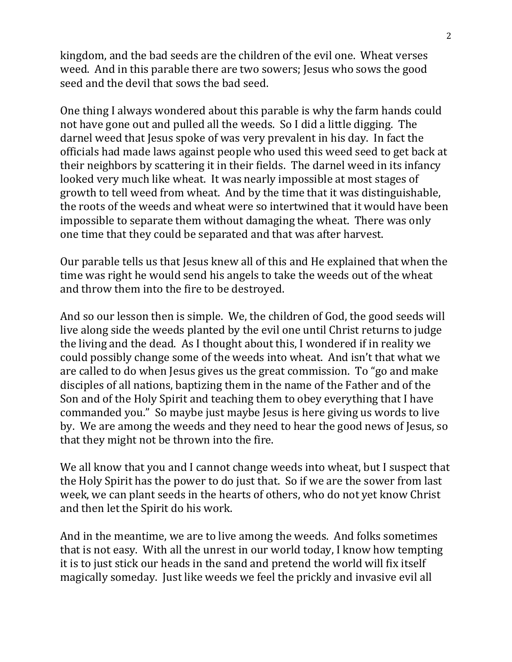kingdom, and the bad seeds are the children of the evil one. Wheat verses weed. And in this parable there are two sowers; Jesus who sows the good seed and the devil that sows the bad seed.

One thing I always wondered about this parable is why the farm hands could not have gone out and pulled all the weeds. So I did a little digging. The darnel weed that Jesus spoke of was very prevalent in his day. In fact the officials had made laws against people who used this weed seed to get back at their neighbors by scattering it in their fields. The darnel weed in its infancy looked very much like wheat. It was nearly impossible at most stages of growth to tell weed from wheat. And by the time that it was distinguishable, the roots of the weeds and wheat were so intertwined that it would have been impossible to separate them without damaging the wheat. There was only one time that they could be separated and that was after harvest.

Our parable tells us that Jesus knew all of this and He explained that when the time was right he would send his angels to take the weeds out of the wheat and throw them into the fire to be destroyed.

And so our lesson then is simple. We, the children of God, the good seeds will live along side the weeds planted by the evil one until Christ returns to judge the living and the dead. As I thought about this, I wondered if in reality we could possibly change some of the weeds into wheat. And isn't that what we are called to do when Jesus gives us the great commission. To "go and make disciples of all nations, baptizing them in the name of the Father and of the Son and of the Holy Spirit and teaching them to obey everything that I have commanded you." So maybe just maybe Jesus is here giving us words to live by. We are among the weeds and they need to hear the good news of Jesus, so that they might not be thrown into the fire.

We all know that you and I cannot change weeds into wheat, but I suspect that the Holy Spirit has the power to do just that. So if we are the sower from last week, we can plant seeds in the hearts of others, who do not yet know Christ and then let the Spirit do his work.

And in the meantime, we are to live among the weeds. And folks sometimes that is not easy. With all the unrest in our world today, I know how tempting it is to just stick our heads in the sand and pretend the world will fix itself magically someday. Just like weeds we feel the prickly and invasive evil all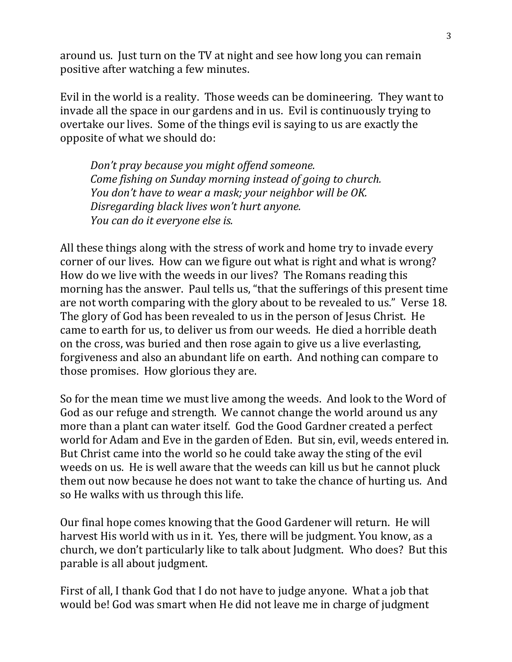around us. Just turn on the TV at night and see how long you can remain positive after watching a few minutes.

Evil in the world is a reality. Those weeds can be domineering. They want to invade all the space in our gardens and in us. Evil is continuously trying to overtake our lives. Some of the things evil is saying to us are exactly the opposite of what we should do:

*Don't pray because you might offend someone. Come fishing on Sunday morning instead of going to church. You don't have to wear a mask; your neighbor will be OK. Disregarding black lives won't hurt anyone. You can do it everyone else is.*

All these things along with the stress of work and home try to invade every corner of our lives. How can we figure out what is right and what is wrong? How do we live with the weeds in our lives? The Romans reading this morning has the answer. Paul tells us, "that the sufferings of this present time are not worth comparing with the glory about to be revealed to us." Verse 18. The glory of God has been revealed to us in the person of Jesus Christ. He came to earth for us, to deliver us from our weeds. He died a horrible death on the cross, was buried and then rose again to give us a live everlasting, forgiveness and also an abundant life on earth. And nothing can compare to those promises. How glorious they are.

So for the mean time we must live among the weeds. And look to the Word of God as our refuge and strength. We cannot change the world around us any more than a plant can water itself. God the Good Gardner created a perfect world for Adam and Eve in the garden of Eden. But sin, evil, weeds entered in. But Christ came into the world so he could take away the sting of the evil weeds on us. He is well aware that the weeds can kill us but he cannot pluck them out now because he does not want to take the chance of hurting us. And so He walks with us through this life.

Our final hope comes knowing that the Good Gardener will return. He will harvest His world with us in it. Yes, there will be judgment. You know, as a church, we don't particularly like to talk about Judgment. Who does? But this parable is all about judgment.

First of all, I thank God that I do not have to judge anyone. What a job that would be! God was smart when He did not leave me in charge of judgment